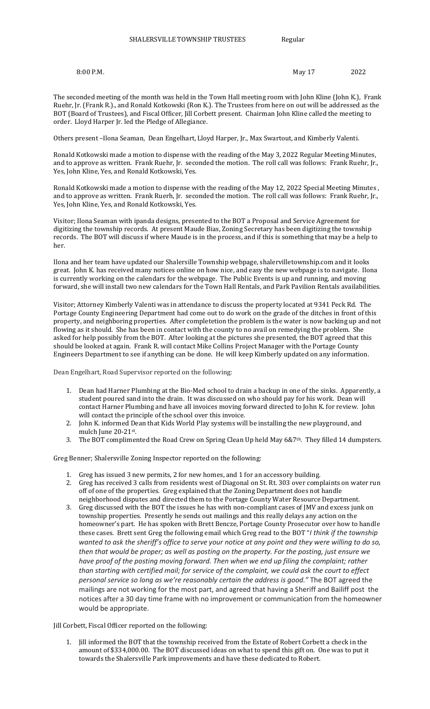8:00 P.M. 2022 2023 2024 12:00 P.M.

The seconded meeting of the month was held in the Town Hall meeting room with John Kline (John K.), Frank Ruehr, Jr. (Frank R.)., and Ronald Kotkowski (Ron K.). The Trustees from here on out will be addressed as the BOT (Board of Trustees), and Fiscal Officer, Jill Corbett present. Chairman John Kline called the meeting to order. Lloyd Harper Jr. led the Pledge of Allegiance.

Others present –Ilona Seaman, Dean Engelhart, Lloyd Harper, Jr., Max Swartout, and Kimberly Valenti.

Ronald Kotkowski made a motion to dispense with the reading of the May 3, 2022 Regular Meeting Minutes, and to approve as written. Frank Ruehr, Jr. seconded the motion. The roll call was follows: Frank Ruehr, Jr., Yes, John Kline, Yes, and Ronald Kotkowski, Yes.

Ronald Kotkowski made a motion to dispense with the reading of the May 12, 2022 Special Meeting Minutes , and to approve as written. Frank Ruerh, Jr. seconded the motion. The roll call was follows: Frank Ruehr, Jr., Yes, John Kline, Yes, and Ronald Kotkowski, Yes.

Visitor; Ilona Seaman with ipanda designs, presented to the BOT a Proposal and Service Agreement for digitizing the township records. At present Maude Bias, Zoning Secretary has been digitizing the township records. The BOT will discuss if where Maude is in the process, and if this is something that may be a help to her.

Ilona and her team have updated our Shalersille Township webpage, shalervilletownship.com and it looks great. John K. has received many notices online on how nice, and easy the new webpage is to navigate. Ilona is currently working on the calendars for the webpage. The Public Events is up and running, and moving forward, she will install two new calendars for the Town Hall Rentals, and Park Pavilion Rentals availabilities.

Visitor; Attorney Kimberly Valenti was in attendance to discuss the property located at 9341 Peck Rd. The Portage County Engineering Department had come out to do work on the grade of the ditches in front of this property, and neighboring properties. After completetion the problem is the water is now backing up and not flowing as it should. She has been in contact with the county to no avail on remedying the problem. She asked for help possibly from the BOT. After looking at the pictures she presented, the BOT agreed that this should be looked at again. Frank R. will contact Mike Collins Project Manager with the Portage County Engineers Department to see if anything can be done. He will keep Kimberly updated on any information.

Dean Engelhart, Road Supervisor reported on the following:

- 1. Dean had Harner Plumbing at the Bio-Med school to drain a backup in one of the sinks. Apparently, a student poured sand into the drain. It was discussed on who should pay for his work. Dean will contact Harner Plumbing and have all invoices moving forward directed to John K. for review. John will contact the principle of the school over this invoice.
- 2. John K. informed Dean that Kids World Play systems will be installing the new playground, and mulch June 20-21st .
- 3. The BOT complimented the Road Crew on Spring Clean Up held May 6&7<sup>th</sup>. They filled 14 dumpsters.

Greg Benner; Shalersville Zoning Inspector reported on the following:

- 1. Greg has issued 3 new permits, 2 for new homes, and 1 for an accessory building.
- 2. Greg has received 3 calls from residents west of Diagonal on St. Rt. 303 over complaints on water run off of one of the properties. Greg explained that the Zoning Department does not handle neighborhood disputes and directed them to the Portage County Water Resource Department.
- 3. Greg discussed with the BOT the issues he has with non-compliant cases of JMV and excess junk on township properties. Presently he sends out mailings and this really delays any action on the homeowner's part. He has spoken with Brett Bencze, Portage County Prosecutor over how to handle these cases. Brett sent Greg the following email which Greg read to the BOT "*I think if the township wanted to ask the sheriff's office to serve your notice at any point and they were willing to do so, then that would be proper; as well as posting on the property. For the posting, just ensure we*  have proof of the posting moving forward. Then when we end up filing the complaint; rather *than starting with certified mail; for service of the complaint, we could ask the court to effect personal service so long as we're reasonably certain the address is good."* The BOT agreed the mailings are not working for the most part, and agreed that having a Sheriff and Bailiff post the notices after a 30 day time frame with no improvement or communication from the homeowner would be appropriate.

Jill Corbett, Fiscal Officer reported on the following:

1. Jill informed the BOT that the township received from the Estate of Robert Corbett a check in the amount of \$334,000.00. The BOT discussed ideas on what to spend this gift on. One was to put it towards the Shalersville Park improvements and have these dedicated to Robert.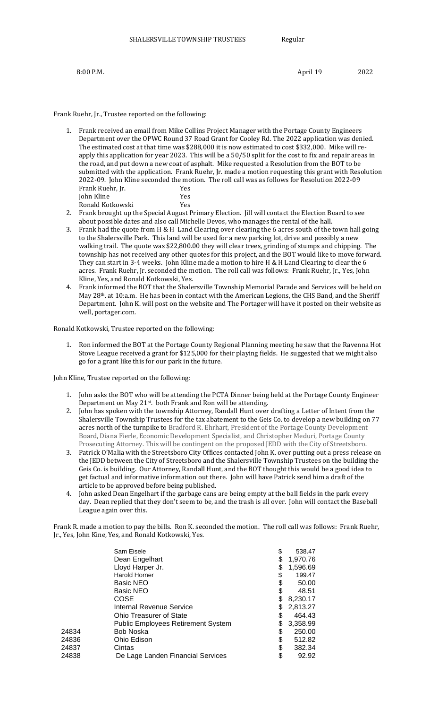8:00 P.M. 2022 2023

## Frank Ruehr, Jr., Trustee reported on the following:

- 1. Frank received an email from Mike Collins Project Manager with the Portage County Engineers Department over the OPWC Round 37 Road Grant for Cooley Rd. The 2022 application was denied. The estimated cost at that time was \$288,000 it is now estimated to cost \$332,000. Mike will reapply this application for year 2023. This will be a 50/50 split for the cost to fix and repair areas in the road, and put down a new coat of asphalt. Mike requested a Resolution from the BOT to be submitted with the application. Frank Ruehr, Jr. made a motion requesting this grant with Resolution 2022-09. John Kline seconded the motion. The roll call was as follows for Resolution 2022-09 Frank Ruehr, Jr. Yes John Kline Yes Ronald Kotkowski Yes
- 2. Frank brought up the Special August Primary Election. Jill will contact the Election Board to see about possible dates and also call Michelle Devos, who manages the rental of the hall.
- 3. Frank had the quote from H & H Land Clearing over clearing the 6 acres south of the town hall going to the Shalersville Park. This land will be used for a new parking lot, drive and possibly a new walking trail. The quote was \$22,800.00 they will clear trees, grinding of stumps and chipping. The township has not received any other quotes for this project, and the BOT would like to move forward. They can start in 3-4 weeks. John Kline made a motion to hire H & H Land Clearing to clear the 6 acres. Frank Ruehr, Jr. seconded the motion. The roll call was follows: Frank Ruehr, Jr., Yes, John Kline, Yes, and Ronald Kotkowski, Yes.
- 4. Frank informed the BOT that the Shalersville Township Memorial Parade and Services will be held on May 28th. at 10:a.m. He has been in contact with the American Legions, the CHS Band, and the Sheriff Department. John K. will post on the website and The Portager will have it posted on their website as well, portager.com.

Ronald Kotkowski, Trustee reported on the following:

1. Ron informed the BOT at the Portage County Regional Planning meeting he saw that the Ravenna Hot Stove League received a grant for \$125,000 for their playing fields. He suggested that we might also go for a grant like this for our park in the future.

John Kline, Trustee reported on the following:

- 1. John asks the BOT who will be attending the PCTA Dinner being held at the Portage County Engineer Department on May 21<sup>st</sup>. both Frank and Ron will be attending.
- 2. John has spoken with the township Attorney, Randall Hunt over drafting a Letter of Intent from the Shalersville Township Trustees for the tax abatement to the Geis Co. to develop a new building on 77 acres north of the turnpike to Bradford R. Ehrhart, President of the Portage County Development Board, Diana Fierle, Economic Development Specialist, and Christopher Meduri, Portage County Prosecuting Attorney. This will be contingent on the proposed JEDD with the City of Streetsboro.
- 3. Patrick O'Malia with the Streetsboro City Offices contacted John K. over putting out a press release on the JEDD between the City of Streetsboro and the Shalersville Township Trustees on the building the Geis Co. is building. Our Attorney, Randall Hunt, and the BOT thought this would be a good idea to get factual and informative information out there. John will have Patrick send him a draft of the article to be approved before being published.
- 4. John asked Dean Engelhart if the garbage cans are being empty at the ball fields in the park every day. Dean replied that they don't seem to be, and the trash is all over. John will contact the Baseball League again over this.

Frank R. made a motion to pay the bills. Ron K. seconded the motion. The roll call was follows: Frank Ruehr, Jr., Yes, John Kine, Yes, and Ronald Kotkowski, Yes.

|       | Sam Eisele                                | \$ | 538.47   |
|-------|-------------------------------------------|----|----------|
|       | Dean Engelhart                            | \$ | 1,970.76 |
|       | Lloyd Harper Jr.                          | S  | 1,596.69 |
|       | Harold Horner                             | \$ | 199.47   |
|       | <b>Basic NEO</b>                          | \$ | 50.00    |
|       | Basic NEO                                 | \$ | 48.51    |
|       | COSE                                      | \$ | 8,230.17 |
|       | Internal Revenue Service                  | S  | 2,813.27 |
|       | Ohio Treasurer of State                   | \$ | 464.43   |
|       | <b>Public Employees Retirement System</b> | \$ | 3,358.99 |
| 24834 | <b>Bob Noska</b>                          | S  | 250.00   |
| 24836 | Ohio Edison                               | \$ | 512.82   |
| 24837 | Cintas                                    | \$ | 382.34   |
| 24838 | De Lage Landen Financial Services         | \$ | 92.92    |
|       |                                           |    |          |